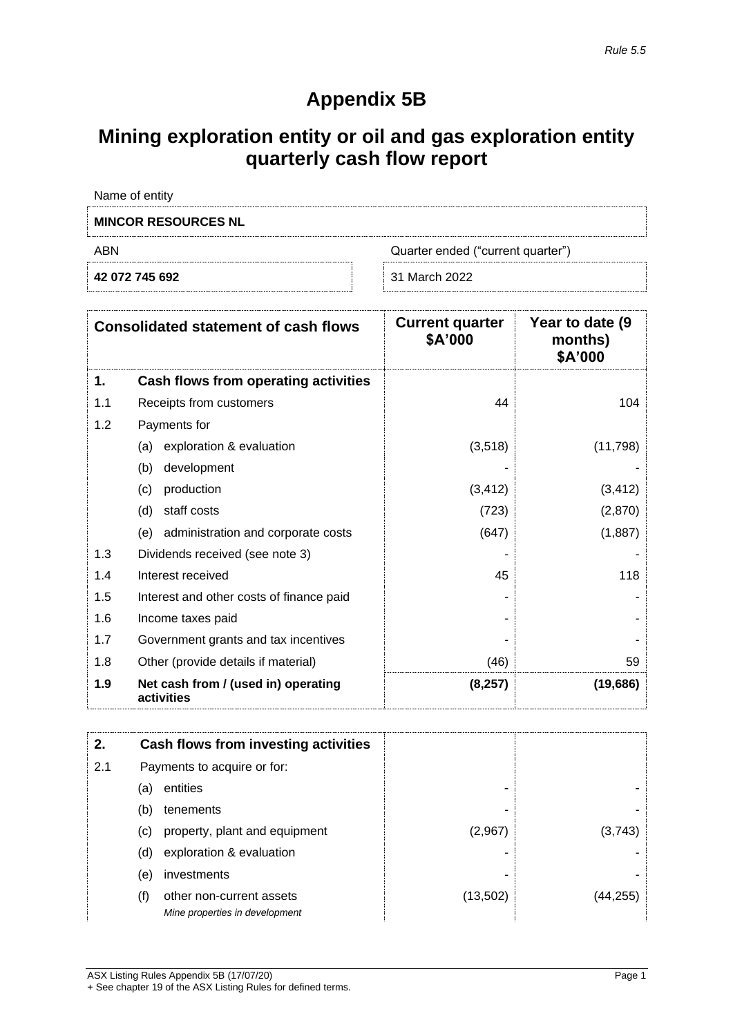1

## **Appendix 5B**

# **Mining exploration entity or oil and gas exploration entity quarterly cash flow report**

| Name of entity                           |               |  |
|------------------------------------------|---------------|--|
| <b>MINCOR RESOURCES NL</b>               |               |  |
| ABN<br>Quarter ended ("current quarter") |               |  |
| 42 072 745 692                           | 31 March 2022 |  |

|     | <b>Consolidated statement of cash flows</b>       | <b>Current quarter</b><br>\$A'000 | Year to date (9)<br>months)<br>\$A'000 |
|-----|---------------------------------------------------|-----------------------------------|----------------------------------------|
| 1.  | Cash flows from operating activities              |                                   |                                        |
| 1.1 | Receipts from customers                           | 44                                | 104                                    |
| 1.2 | Payments for                                      |                                   |                                        |
|     | exploration & evaluation<br>(a)                   | (3,518)                           | (11,798)                               |
|     | development<br>(b)                                |                                   |                                        |
|     | production<br>(c)                                 | (3, 412)                          | (3, 412)                               |
|     | staff costs<br>(d)                                | (723)                             | (2,870)                                |
|     | administration and corporate costs<br>(e)         | (647)                             | (1,887)                                |
| 1.3 | Dividends received (see note 3)                   |                                   |                                        |
| 1.4 | Interest received                                 | 45                                | 118                                    |
| 1.5 | Interest and other costs of finance paid          |                                   |                                        |
| 1.6 | Income taxes paid                                 |                                   |                                        |
| 1.7 | Government grants and tax incentives              |                                   |                                        |
| 1.8 | Other (provide details if material)               | (46)                              | 59                                     |
| 1.9 | Net cash from / (used in) operating<br>activities | (8, 257)                          | (19,686)                               |

| 2.  |     | Cash flows from investing activities                       |           |         |
|-----|-----|------------------------------------------------------------|-----------|---------|
| 2.1 |     | Payments to acquire or for:                                |           |         |
|     | (a) | entities                                                   | -         |         |
|     | (b) | tenements                                                  | -         |         |
|     | (c) | property, plant and equipment                              | (2,967)   | (3,743) |
|     | (d) | exploration & evaluation                                   |           |         |
|     | (e) | investments                                                |           |         |
|     | (f) | other non-current assets<br>Mine properties in development | (13, 502) |         |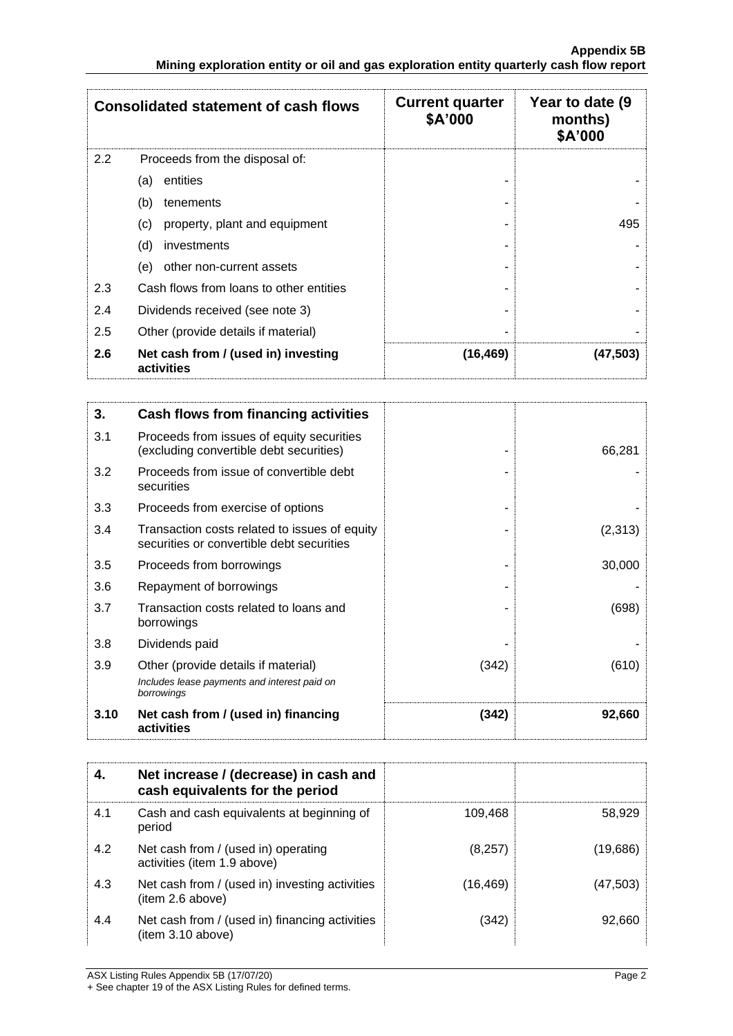|     | <b>Consolidated statement of cash flows</b>       | <b>Current quarter</b><br>\$A'000 | Year to date (9)<br>months)<br>\$A'000 |
|-----|---------------------------------------------------|-----------------------------------|----------------------------------------|
| 2.2 | Proceeds from the disposal of:                    |                                   |                                        |
|     | entities<br>(a)                                   |                                   |                                        |
|     | (b)<br>tenements                                  |                                   |                                        |
|     | property, plant and equipment<br>(c)              |                                   | 495                                    |
|     | (d)<br>investments                                |                                   |                                        |
|     | other non-current assets<br>(e)                   |                                   |                                        |
| 2.3 | Cash flows from loans to other entities           |                                   |                                        |
| 2.4 | Dividends received (see note 3)                   |                                   |                                        |
| 2.5 | Other (provide details if material)               |                                   |                                        |
| 2.6 | Net cash from / (used in) investing<br>activities | (16, 469)                         | (47,503)                               |

| 3.   | Cash flows from financing activities                                                              |       |         |
|------|---------------------------------------------------------------------------------------------------|-------|---------|
| 3.1  | Proceeds from issues of equity securities<br>(excluding convertible debt securities)              |       | 66,281  |
| 3.2  | Proceeds from issue of convertible debt<br>securities                                             |       |         |
| 3.3  | Proceeds from exercise of options                                                                 |       |         |
| 3.4  | Transaction costs related to issues of equity<br>securities or convertible debt securities        |       | (2,313) |
| 3.5  | Proceeds from borrowings                                                                          |       | 30,000  |
| 3.6  | Repayment of borrowings                                                                           |       |         |
| 3.7  | Transaction costs related to loans and<br>borrowings                                              |       | (698)   |
| 3.8  | Dividends paid                                                                                    |       |         |
| 3.9  | Other (provide details if material)<br>Includes lease payments and interest paid on<br>borrowings | (342) | (610)   |
| 3.10 | Net cash from / (used in) financing<br>activities                                                 | (342) | 92,660  |

|     | Net increase / (decrease) in cash and<br>cash equivalents for the period |          |          |
|-----|--------------------------------------------------------------------------|----------|----------|
| 4.1 | Cash and cash equivalents at beginning of<br>period                      | 109,468  | 58,929   |
| 4.2 | Net cash from / (used in) operating<br>activities (item 1.9 above)       | (8,257)  | (19,686) |
| 4.3 | Net cash from / (used in) investing activities<br>(item 2.6 above)       | (16,469) | (47,503) |
| 4.4 | Net cash from / (used in) financing activities<br>(item 3.10 above)      | (342)    | 92,660   |

ASX Listing Rules Appendix 5B (17/07/20) Page 2 + See chapter 19 of the ASX Listing Rules for defined terms.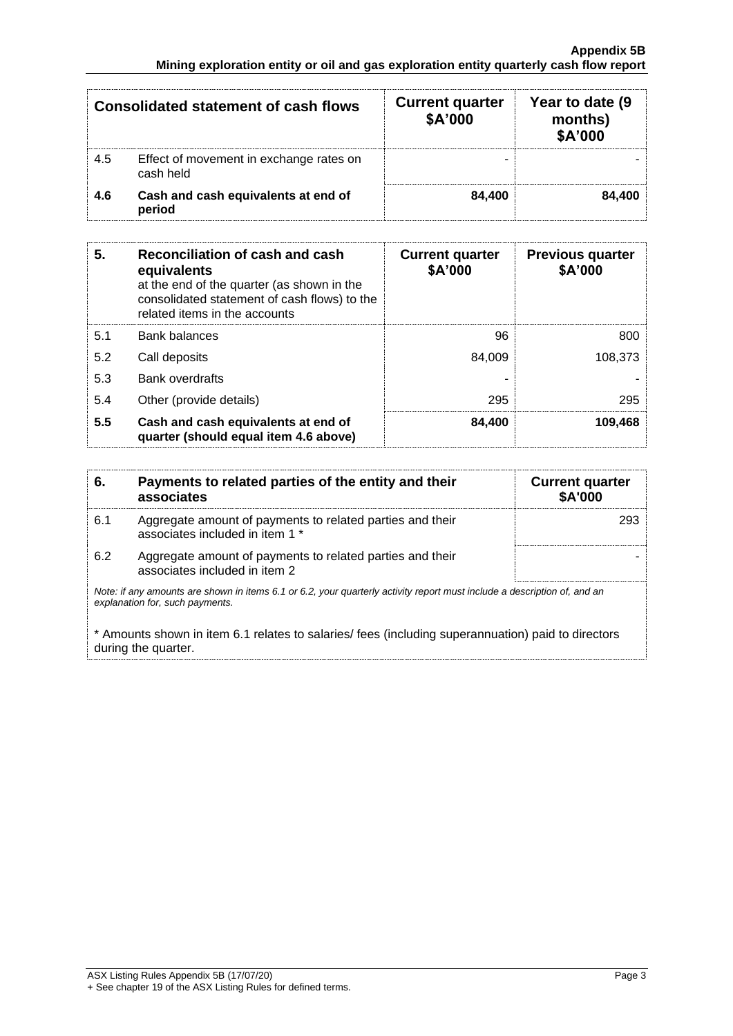|     | <b>Consolidated statement of cash flows</b>          | <b>Current quarter</b><br>\$A'000 | Year to date (9)<br>months)<br>\$A'000 |
|-----|------------------------------------------------------|-----------------------------------|----------------------------------------|
| 4.5 | Effect of movement in exchange rates on<br>cash held |                                   |                                        |
| 4.6 | Cash and cash equivalents at end of<br>period        | 84.400                            | 84.400                                 |

| 5.  | Reconciliation of cash and cash<br>equivalents<br>at the end of the quarter (as shown in the<br>consolidated statement of cash flows) to the<br>related items in the accounts | <b>Current quarter</b><br>\$A'000 | <b>Previous quarter</b><br>\$A'000 |
|-----|-------------------------------------------------------------------------------------------------------------------------------------------------------------------------------|-----------------------------------|------------------------------------|
| 5.1 | <b>Bank balances</b>                                                                                                                                                          | 96                                | 800                                |
| 5.2 | Call deposits                                                                                                                                                                 | 84.009                            | 108.373                            |
| 5.3 | Bank overdrafts                                                                                                                                                               |                                   |                                    |
| 5.4 | Other (provide details)                                                                                                                                                       | 295                               | 295                                |
| 5.5 | Cash and cash equivalents at end of<br>quarter (should equal item 4.6 above)                                                                                                  | 84,400                            | 109,468                            |

| 6.                                                                                                                                                          | Payments to related parties of the entity and their<br>associates                            | <b>Current quarter</b><br><b>\$A'000</b> |  |
|-------------------------------------------------------------------------------------------------------------------------------------------------------------|----------------------------------------------------------------------------------------------|------------------------------------------|--|
| 6.1                                                                                                                                                         | Aggregate amount of payments to related parties and their<br>associates included in item 1 * | 293                                      |  |
| 6.2                                                                                                                                                         | Aggregate amount of payments to related parties and their<br>associates included in item 2   |                                          |  |
| Note: if any amounts are shown in items 6.1 or 6.2, your quarterly activity report must include a description of, and an<br>explanation for, such payments. |                                                                                              |                                          |  |

\* Amounts shown in item 6.1 relates to salaries/ fees (including superannuation) paid to directors during the quarter.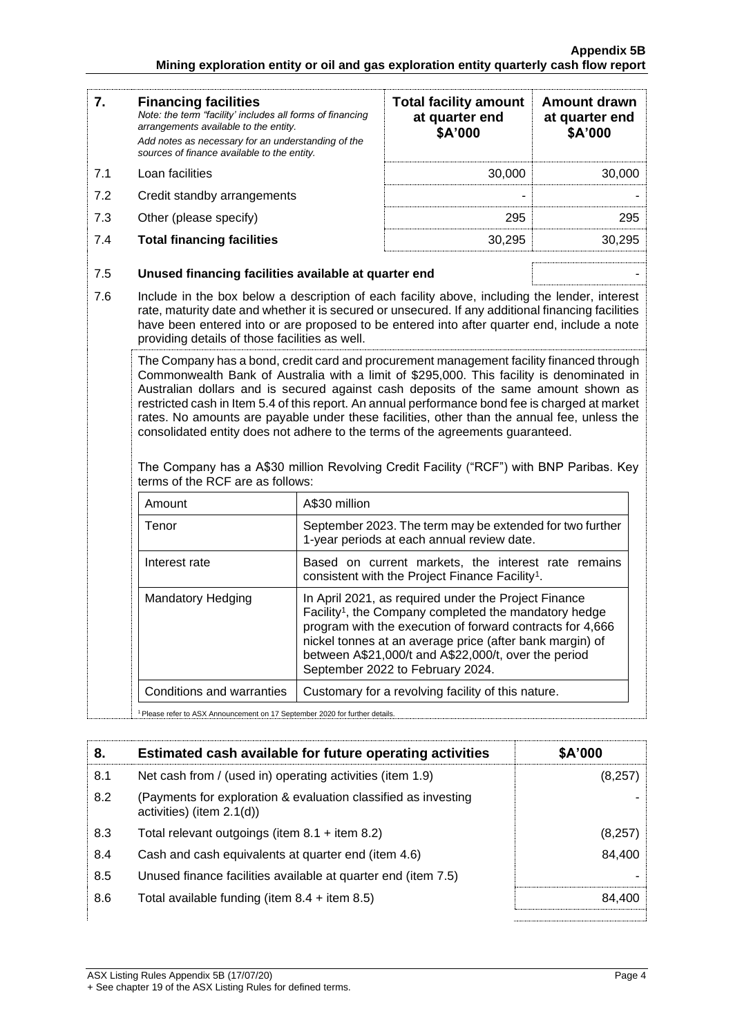| 7.  | <b>Financing facilities</b><br>Note: the term "facility' includes all forms of financing<br>arrangements available to the entity. | <b>Total facility amount</b><br>at quarter end<br>\$A'000 | <b>Amount drawn</b><br>at quarter end<br>\$A'000 |
|-----|-----------------------------------------------------------------------------------------------------------------------------------|-----------------------------------------------------------|--------------------------------------------------|
|     | Add notes as necessary for an understanding of the<br>sources of finance available to the entity.                                 |                                                           |                                                  |
| 7.1 | Loan facilities                                                                                                                   | 30,000                                                    | 30,000                                           |
| 7.2 | Credit standby arrangements                                                                                                       |                                                           |                                                  |
| 7.3 | Other (please specify)                                                                                                            | 295                                                       | 295                                              |
| 7.4 | <b>Total financing facilities</b>                                                                                                 | 30.295                                                    | 30,295                                           |
| 7.5 | Unused financing facilities available at quarter end                                                                              |                                                           |                                                  |
|     |                                                                                                                                   |                                                           |                                                  |

7.6 Include in the box below a description of each facility above, including the lender, interest rate, maturity date and whether it is secured or unsecured. If any additional financing facilities have been entered into or are proposed to be entered into after quarter end, include a note providing details of those facilities as well.

The Company has a bond, credit card and procurement management facility financed through Commonwealth Bank of Australia with a limit of \$295,000. This facility is denominated in Australian dollars and is secured against cash deposits of the same amount shown as restricted cash in Item 5.4 of this report. An annual performance bond fee is charged at market rates. No amounts are payable under these facilities, other than the annual fee, unless the consolidated entity does not adhere to the terms of the agreements guaranteed.

The Company has a A\$30 million Revolving Credit Facility ("RCF") with BNP Paribas. Key terms of the RCF are as follows:

| Amount                    | A\$30 million                                                                                                                                                                                                                                                                                                                                  |
|---------------------------|------------------------------------------------------------------------------------------------------------------------------------------------------------------------------------------------------------------------------------------------------------------------------------------------------------------------------------------------|
| Tenor                     | September 2023. The term may be extended for two further<br>1-year periods at each annual review date.                                                                                                                                                                                                                                         |
| Interest rate             | Based on current markets, the interest rate remains<br>consistent with the Project Finance Facility <sup>1</sup> .                                                                                                                                                                                                                             |
| Mandatory Hedging         | In April 2021, as required under the Project Finance<br>Facility <sup>1</sup> , the Company completed the mandatory hedge<br>program with the execution of forward contracts for 4,666<br>nickel tonnes at an average price (after bank margin) of<br>between A\$21,000/t and A\$22,000/t, over the period<br>September 2022 to February 2024. |
| Conditions and warranties | Customary for a revolving facility of this nature.                                                                                                                                                                                                                                                                                             |

<sup>1</sup> Please refer to ASX Announcement on 17 September 2020 for further details.

| 8.  | Estimated cash available for future operating activities                                    | \$A'000 |
|-----|---------------------------------------------------------------------------------------------|---------|
| 8.1 | Net cash from / (used in) operating activities (item 1.9)                                   | (8,257) |
| 8.2 | (Payments for exploration & evaluation classified as investing<br>activities) (item 2.1(d)) |         |
| 8.3 | Total relevant outgoings (item $8.1$ + item $8.2$ )                                         | (8,257) |
| 8.4 | Cash and cash equivalents at quarter end (item 4.6)                                         | 84,400  |
| 8.5 | Unused finance facilities available at quarter end (item 7.5)                               |         |
| 8.6 | Total available funding (item $8.4$ + item $8.5$ )                                          | 84.400  |
|     |                                                                                             |         |